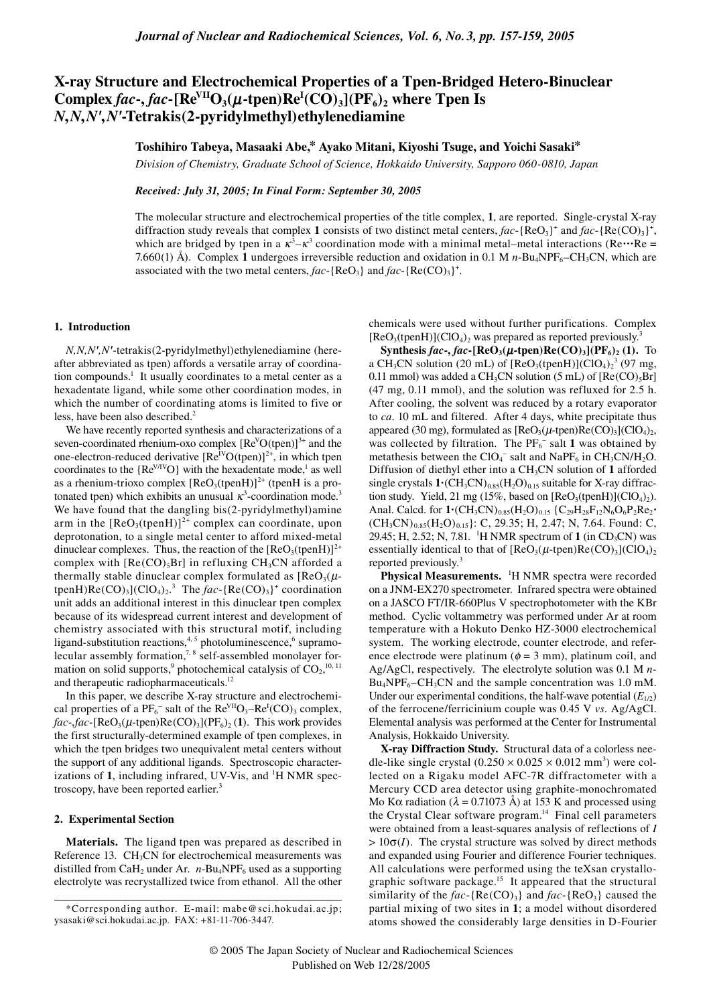# **X-ray Structure and Electrochemical Properties of a Tpen-Bridged Hetero-Binuclear**  Complex *fac***-**, *fac***-**[ $Re^{VII}O_3(\mu$ **-tpen**) $Re^{I}(CO)_3$ ]( $PF_6$ )<sub>2</sub> where Tpen Is *N***,***N***,***N'***,***N'***-Tetrakis(2-pyridylmethyl)ethylenediamine**

## **Toshihiro Tabeya, Masaaki Abe,\* Ayako Mitani, Kiyoshi Tsuge, and Yoichi Sasaki\***

*Division of Chemistry, Graduate School of Science, Hokkaido University, Sapporo 060-0810, Japan*

## *Received: July 31, 2005; In Final Form: September 30, 2005*

The molecular structure and electrochemical properties of the title complex, **1**, are reported. Single-crystal X-ray diffraction study reveals that complex 1 consists of two distinct metal centers,  $fac$ -{ReO<sub>3</sub>}<sup>+</sup> and  $fac$ -{Re(CO)<sub>3</sub>}<sup>+</sup>, which are bridged by tpen in a  $\kappa^3 - \kappa^3$  coordination mode with a minimal metal–metal interactions (Re $\cdots$ Re = 7.660(1) Å). Complex 1 undergoes irreversible reduction and oxidation in 0.1 M  $n$ -Bu<sub>4</sub>NPF<sub>6</sub>–CH<sub>3</sub>CN, which are associated with the two metal centers,  $fac$ -{ReO<sub>3</sub>} and  $fac$ -{Re(CO)<sub>3</sub>}<sup>+</sup>.

## **1. Introduction**

*N,N,N',N'*-tetrakis(2-pyridylmethyl)ethylenediamine (hereafter abbreviated as tpen) affords a versatile array of coordination compounds.<sup>1</sup> It usually coordinates to a metal center as a hexadentate ligand, while some other coordination modes, in which the number of coordinating atoms is limited to five or less, have been also described.<sup>2</sup>

We have recently reported synthesis and characterizations of a seven-coordinated rhenium-oxo complex  $[Re<sup>V</sup>O(tpen)]^{3+}$  and the one-electron-reduced derivative  $[Re^{IVO(tpen)}]^{2+}$ , in which tpen coordinates to the  ${Re<sup>V/IV</sup>O}$  with the hexadentate mode,<sup>1</sup> as well as a rhenium-trioxo complex  $[ReO<sub>3</sub>(tpenH)]<sup>2+</sup>$  (tpenH is a protonated tpen) which exhibits an unusual  $\kappa^3$ -coordination mode.<sup>3</sup> Ì. We have found that the dangling bis(2-pyridylmethyl)amine arm in the  $[ReO<sub>3</sub>(tpenH)]<sup>2+</sup> complex can coordinate, upon$ deprotonation, to a single metal center to afford mixed-metal dinuclear complexes. Thus, the reaction of the  $[{\rm Re}O<sub>3</sub>(tpenH)]<sup>2+</sup>$ complex with  $[Re(CO), Br]$  in refluxing CH<sub>3</sub>CN afforded a thermally stable dinuclear complex formulated as  $[ReO<sub>3</sub>(\mu$ tpenH)Re(CO)<sub>3</sub>](ClO<sub>4</sub>)<sub>2</sub>.<sup>3</sup> The *fac*-{Re(CO)<sub>3</sub>}<sup>+</sup> coordination unit adds an additional interest in this dinuclear tpen complex because of its widespread current interest and development of chemistry associated with this structural motif, including ligand-substitution reactions,<sup>4, 5</sup> photoluminescence,<sup>6</sup> supramolecular assembly formation,<sup>7,8</sup> self-assembled monolayer formation on solid supports,<sup>9</sup> photochemical catalysis of  $CO_2$ ,<sup>10, 11</sup> and therapeutic radiopharmaceuticals.12

In this paper, we describe X-ray structure and electrochemical properties of a  $PF_6^-$  salt of the  $Re<sup>VII</sup>O_3-Re<sup>I</sup>(CO)_3$  complex,  $fac$ -,*fac*-[ReO<sub>3</sub>( $\mu$ -tpen)Re(CO)<sub>3</sub>](PF<sub>6</sub>)<sub>2</sub>(1). This work provides the first structurally-determined example of tpen complexes, in which the tpen bridges two unequivalent metal centers without the support of any additional ligands. Spectroscopic characterizations of 1, including infrared, UV-Vis, and <sup>1</sup>H NMR spectroscopy, have been reported earlier.<sup>3</sup>

## **2. Experimental Section**

**Materials.** The ligand tpen was prepared as described in Reference 13. CH<sub>3</sub>CN for electrochemical measurements was distilled from CaH<sub>2</sub> under Ar.  $n$ -Bu<sub>4</sub>NPF<sub>6</sub> used as a supporting electrolyte was recrystallized twice from ethanol. All the other chemicals were used without further purifications. Complex  $[ReO<sub>3</sub>(tpenH)](ClO<sub>4</sub>)<sub>2</sub>$  was prepared as reported previously.<sup>3</sup> j

**Synthesis** *fac***-,** *fac***-[ReO<sub>3</sub>(** $\mu$ **<sup></sup><b>-tpen)Re(CO)**<sub>3</sub>]( $PF_6$ )<sub>2</sub> (1). To a CH<sub>3</sub>CN solution (20 mL) of  $[ReO<sub>3</sub>(tpenH)](ClO<sub>4</sub>)<sub>2</sub><sup>3</sup> (97 mg,$ 0.11 mmol) was added a CH<sub>3</sub>CN solution (5 mL) of  $[Re(CO)_5Br]$ (47 mg, 0.11 mmol), and the solution was refluxed for 2.5 h. After cooling, the solvent was reduced by a rotary evaporator to *ca*. 10 mL and filtered. After 4 days, white precipitate thus appeared (30 mg), formulated as  $[ReO<sub>3</sub>(\mu$ -tpen) $Re(CO)<sub>3</sub>](ClO<sub>4</sub>)<sub>2</sub>$ , was collected by filtration. The  $PF_6^-$  salt 1 was obtained by metathesis between the  $ClO_4^-$  salt and NaPF<sub>6</sub> in CH<sub>3</sub>CN/H<sub>2</sub>O. Diffusion of diethyl ether into a CH3CN solution of **1** afforded single crystals  $1 \cdot (CH_3CN)_{0.85}(H_2O)_{0.15}$  suitable for X-ray diffraction study. Yield, 21 mg (15%, based on  $[ReO<sub>3</sub>(tpenH)](ClO<sub>4</sub>)<sub>2</sub>)$ . Anal. Calcd. for  $1$ **·**(CH<sub>3</sub>CN)<sub>0.85</sub>(H<sub>2</sub>O)<sub>0.15</sub> {C<sub>29</sub>H<sub>28</sub>F<sub>12</sub>N<sub>6</sub>O<sub>6</sub>P<sub>2</sub>Re<sub>2</sub>**·**  $(CH_3CN)_{0.85}(H_2O)_{0.15}$ : C, 29.35; H, 2.47; N, 7.64. Found: C, 29.45; H, 2.52; N, 7.81. <sup>1</sup>H NMR spectrum of **1** (in CD<sub>3</sub>CN) was essentially identical to that of  $[ReO_3(\mu\text{-}tpen)Re(CO)_3](ClO_4)_2$ reported previously.<sup>3</sup>

Physical Measurements. <sup>1</sup>H NMR spectra were recorded on a JNM-EX270 spectrometer. Infrared spectra were obtained on a JASCO FT/IR-660Plus V spectrophotometer with the KBr method. Cyclic voltammetry was performed under Ar at room temperature with a Hokuto Denko HZ-3000 electrochemical system. The working electrode, counter electrode, and reference electrode were platinum ( $\phi = 3$  mm), platinum coil, and Ag/AgCl, respectively. The electrolyte solution was 0.1 M *n*- $Bu_4NPF_6-CH_3CN$  and the sample concentration was 1.0 mM. Under our experimental conditions, the half-wave potential  $(E_{1/2})$ of the ferrocene/ferricinium couple was 0.45 V *vs.* Ag/AgCl. Elemental analysis was performed at the Center for Instrumental Analysis, Hokkaido University.

**X-ray Diffraction Study.** Structural data of a colorless needle-like single crystal  $(0.250 \times 0.025 \times 0.012 \text{ mm}^3)$  were collected on a Rigaku model AFC-7R diffractometer with a Mercury CCD area detector using graphite-monochromated Mo Kα radiation ( $λ = 0.71073$  Å) at 153 K and processed using the Crystal Clear software program.<sup>14</sup> Final cell parameters were obtained from a least-squares analysis of reflections of *I*  $> 10\sigma(I)$ . The crystal structure was solved by direct methods and expanded using Fourier and difference Fourier techniques. All calculations were performed using the teXsan crystallographic software package.15 It appeared that the structural similarity of the  $fac$ -{ $Re(CO_3)$ } and  $fac$ -{ $ReO_3$ } caused the partial mixing of two sites in **1**; a model without disordered atoms showed the considerably large densities in D-Fourier

<sup>\*</sup>Corresponding author. E-mail: mabe@sci.hokudai.ac.jp; ysasaki@sci.hokudai.ac.jp. FAX: +81-11-706-3447.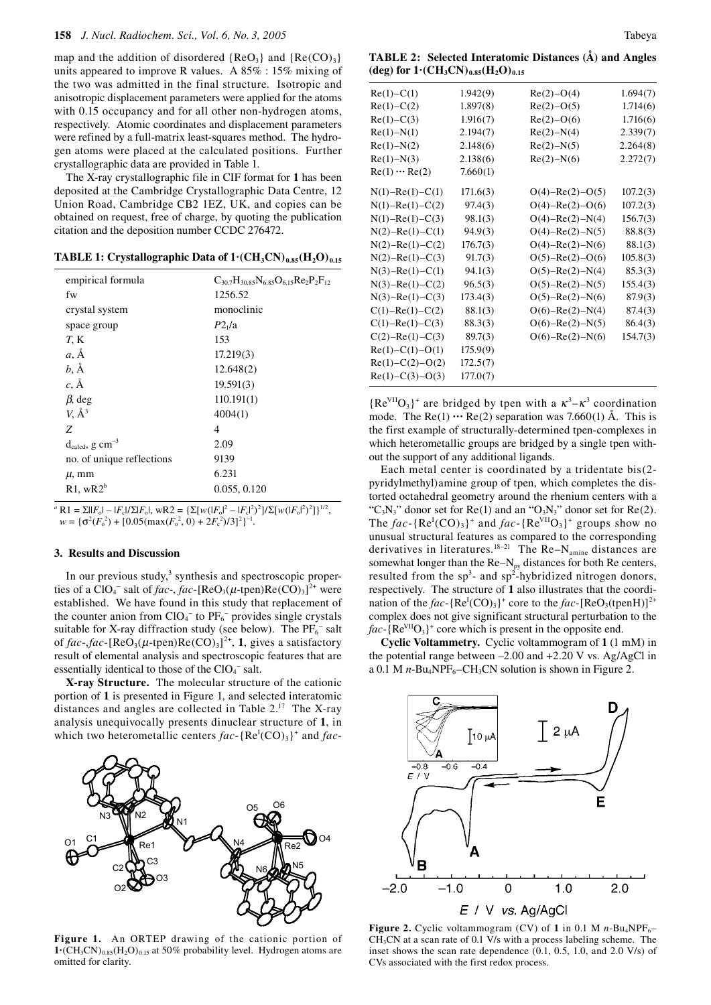map and the addition of disordered  ${ReO<sub>3</sub>}$  and  ${Re(CO)<sub>3</sub>}$ units appeared to improve R values. A 85% : 15% mixing of the two was admitted in the final structure. Isotropic and anisotropic displacement parameters were applied for the atoms with 0.15 occupancy and for all other non-hydrogen atoms, respectively. Atomic coordinates and displacement parameters were refined by a full-matrix least-squares method. The hydrogen atoms were placed at the calculated positions. Further crystallographic data are provided in Table 1.

The X-ray crystallographic file in CIF format for **1** has been deposited at the Cambridge Crystallographic Data Centre, 12 Union Road, Cambridge CB2 1EZ, UK, and copies can be obtained on request, free of charge, by quoting the publication citation and the deposition number CCDC 276472.

**TABLE 1: Crystallographic Data of**  $1 \cdot (CH_3CN)_{0.85}(H_2O)_{0.15}$ 

| empirical formula                       | $C_{307}H_{3085}N_{685}O_{615}R_{27}P_2F_{12}$ |
|-----------------------------------------|------------------------------------------------|
| fw                                      | 1256.52                                        |
| crystal system                          | monoclinic                                     |
| space group                             | P2 <sub>1</sub> /a                             |
| T, K                                    | 153                                            |
| $a, \AA$                                | 17.219(3)                                      |
| $b, \AA$                                | 12.648(2)                                      |
| $c, \AA$                                | 19.591(3)                                      |
| $\beta$ , deg                           | 110.191(1)                                     |
| $V, \AA^3$                              | 4004(1)                                        |
| Z                                       | 4                                              |
| $d_{\text{caled}}$ , g cm <sup>-3</sup> | 2.09                                           |
| no. of unique reflections               | 9139                                           |
| $\mu$ , mm                              | 6.231                                          |
| $R1$ , w $R2b$                          | 0.055, 0.120                                   |
|                                         |                                                |

 ${}^{a}$  **R1** =  $\Sigma$ ||*F*<sub>o</sub>|| – |*F*<sub>c</sub>|/ $\Sigma$ |*F*<sub>o</sub>|, wR2 = { $\Sigma$ [*w*(|*F*<sub>o</sub><sup>|2</sup> – |*F*<sub>c</sub>|<sup>2</sup>)<sup>2</sup>]/ $\Sigma$ [*w*(|*F*<sub>o</sub><sup>|2</sup>)<sup>2</sup>]}<sup>1/2</sup>,  $w = {\sigma^2(F_o^2) + [0.05(\max(F_o^2, 0) + 2F_c^2)/3]^2}^{-1}$ .

## **3. Results and Discussion**

In our previous study,<sup>3</sup> synthesis and spectroscopic properties of a  $ClO_4^-$  salt of *fac*-, *fac*-[ReO<sub>3</sub>( $\mu$ -tpen)Re(CO)<sub>3</sub>]<sup>2+</sup> were established. We have found in this study that replacement of the counter anion from  $ClO<sub>4</sub><sup>-</sup>$  to  $PF<sub>6</sub><sup>-</sup>$  provides single crystals suitable for X-ray diffraction study (see below). The  $PF_6^-$  salt of  $fac$ -, $fac$ -[ReO<sub>3</sub>( $\mu$ -tpen)Re(CO)<sub>3</sub>]<sup>2+</sup>, **1**, gives a satisfactory result of elemental analysis and spectroscopic features that are essentially identical to those of the  $ClO<sub>4</sub>^-$  salt.

**X-ray Structure.** The molecular structure of the cationic portion of **1** is presented in Figure 1, and selected interatomic distances and angles are collected in Table 2.17 The X-ray analysis unequivocally presents dinuclear structure of **1**, in which two heterometallic centers  $fac$ -{ $Re<sup>I</sup>(CO)<sub>3</sub>$ }<sup>+</sup> and  $fac$ -



**Figure 1.** An ORTEP drawing of the cationic portion of  $1 \cdot (CH_3CN)_{0.85}(H_2O)_{0.15}$  at 50% probability level. Hydrogen atoms are omitted for clarity.

**TABLE 2: Selected Interatomic Distances (Å) and Angles**   $(\text{deg})$  for  $1 \cdot (\text{CH}_3\text{CN})_{0.85}(\text{H}_2\text{O})_{0.15}$ 

| $Re(1) - C(1)$        | 1.942(9) | $Re(2)-O(4)$          | 1.694(7) |
|-----------------------|----------|-----------------------|----------|
| $Re(1) - C(2)$        | 1.897(8) | $Re(2) - O(5)$        | 1.714(6) |
| $Re(1) - C(3)$        | 1.916(7) | $Re(2)-O(6)$          | 1.716(6) |
| $Re(1) - N(1)$        | 2.194(7) | $Re(2) - N(4)$        | 2.339(7) |
| $Re(1) - N(2)$        | 2.148(6) | $Re(2) - N(5)$        | 2.264(8) |
| $Re(1) - N(3)$        | 2.138(6) | $Re(2) - N(6)$        | 2.272(7) |
| $Re(1) \cdots Re(2)$  | 7.660(1) |                       |          |
| $N(1) - Re(1) - C(1)$ | 171.6(3) | $O(4) - Re(2) - O(5)$ | 107.2(3) |
| $N(1) - Re(1) - C(2)$ | 97.4(3)  | $O(4) - Re(2) - O(6)$ | 107.2(3) |
| $N(1) - Re(1) - C(3)$ | 98.1(3)  | $O(4) - Re(2) - N(4)$ | 156.7(3) |
| $N(2) - Re(1) - C(1)$ | 94.9(3)  | $O(4) - Re(2) - N(5)$ | 88.8(3)  |
| $N(2) - Re(1) - C(2)$ | 176.7(3) | $O(4) - Re(2) - N(6)$ | 88.1(3)  |
| $N(2) - Re(1) - C(3)$ | 91.7(3)  | $O(5) - Re(2) - O(6)$ | 105.8(3) |
| $N(3) - Re(1) - C(1)$ | 94.1(3)  | $O(5) - Re(2) - N(4)$ | 85.3(3)  |
| $N(3) - Re(1) - C(2)$ | 96.5(3)  | $O(5) - Re(2) - N(5)$ | 155.4(3) |
| $N(3) - Re(1) - C(3)$ | 173.4(3) | $O(5) - Re(2) - N(6)$ | 87.9(3)  |
| $C(1) - Re(1) - C(2)$ | 88.1(3)  | $O(6) - Re(2) - N(4)$ | 87.4(3)  |
| $C(1) - Re(1) - C(3)$ | 88.3(3)  | $O(6) - Re(2) - N(5)$ | 86.4(3)  |
| $C(2) - Re(1) - C(3)$ | 89.7(3)  | $O(6) - Re(2) - N(6)$ | 154.7(3) |
| $Re(1) - C(1) - O(1)$ | 175.9(9) |                       |          |
| $Re(1)-C(2)-O(2)$     | 172.5(7) |                       |          |
| $Re(1) - C(3) - O(3)$ | 177.0(7) |                       |          |

 ${Re<sup>VII</sup>O<sub>3</sub>}^+$  are bridged by tpen with a  $\kappa^3 - \kappa^3$  coordination mode. The  $\text{Re}(1) \cdots \text{Re}(2)$  separation was 7.660(1) Å. This is the first example of structurally-determined tpen-complexes in which heterometallic groups are bridged by a single tpen without the support of any additional ligands.

Each metal center is coordinated by a tridentate bis(2 pyridylmethyl)amine group of tpen, which completes the distorted octahedral geometry around the rhenium centers with a "C<sub>3</sub>N<sub>3</sub>" donor set for Re(1) and an "O<sub>3</sub>N<sub>3</sub>" donor set for Re(2). The  $fac$ -{ $Re<sup>I</sup>(CO)<sub>3</sub>$ }<sup>+</sup> and  $fac$ -{ $Re<sup>VII</sup>O<sub>3</sub>$ }<sup>+</sup> groups show no unusual structural features as compared to the corresponding derivatives in literatures.<sup>18−21</sup> The Re–N<sub>amine</sub> distances are somewhat longer than the  $Re-N_{py}$  distances for both  $Re$  centers, resulted from the  $sp^3$ - and  $sp^2$ -hybridized nitrogen donors, respectively. The structure of **1** also illustrates that the coordination of the  $fac$ -{Re<sup>I</sup>(CO)<sub>3</sub>}<sup>+</sup> core to the  $fac$ -[ReO<sub>3</sub>(tpenH)]<sup>2+</sup> complex does not give significant structural perturbation to the  $fac$ -{ $Re<sup>VII</sup>O<sub>3</sub>$ <sup>+</sup> core which is present in the opposite end.

**Cyclic Voltammetry.** Cyclic voltammogram of **1** (1 mM) in the potential range between –2.00 and +2.20 V vs. Ag/AgCl in a 0.1 M  $n$ -Bu<sub>4</sub>NPF<sub>6</sub>–CH<sub>3</sub>CN solution is shown in Figure 2.



**Figure 2.** Cyclic voltammogram (CV) of 1 in 0.1 M  $n$ -Bu<sub>4</sub>NPF<sub>6</sub>–  $CH<sub>3</sub>CN$  at a scan rate of 0.1 V/s with a process labeling scheme. The inset shows the scan rate dependence (0.1, 0.5, 1.0, and 2.0 V/s) of CVs associated with the first redox process.